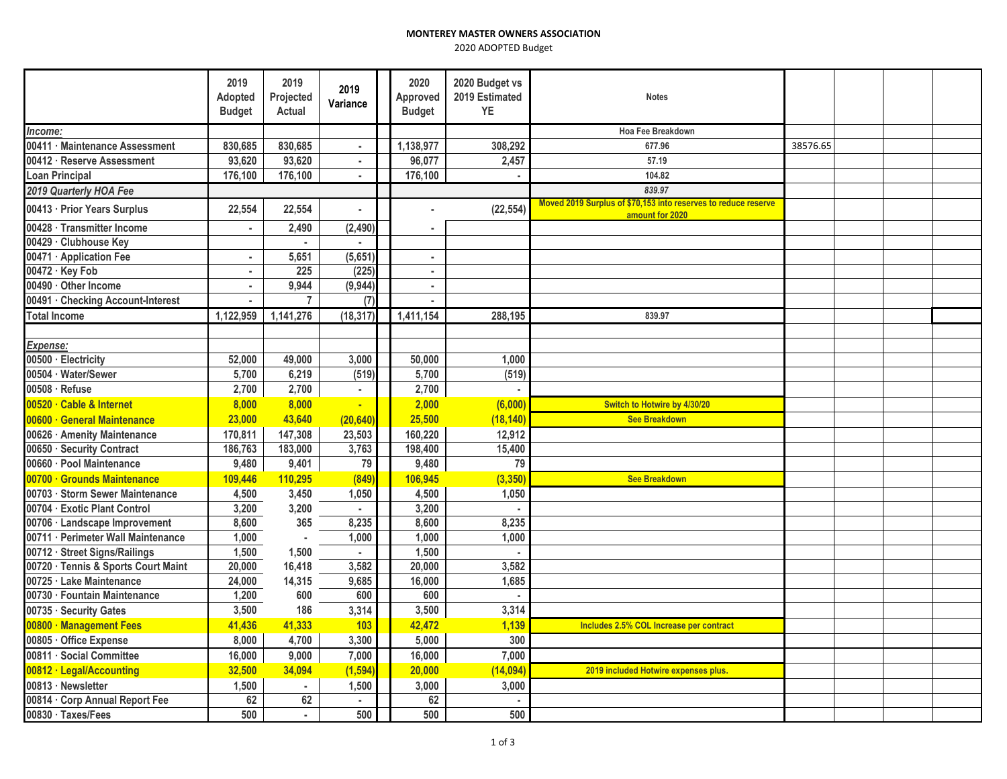2020 ADOPTED Budget

|                                     | 2019<br>Adopted<br><b>Budget</b> | 2019<br>Projected<br>Actual | 2019<br>Variance      | 2020<br>Approved<br><b>Budget</b> | 2020 Budget vs<br>2019 Estimated<br>YE | <b>Notes</b>                                                                      |          |  |  |
|-------------------------------------|----------------------------------|-----------------------------|-----------------------|-----------------------------------|----------------------------------------|-----------------------------------------------------------------------------------|----------|--|--|
| Income:                             |                                  |                             |                       |                                   |                                        | Hoa Fee Breakdown                                                                 |          |  |  |
| 00411 · Maintenance Assessment      | 830,685                          | 830,685                     | a.                    | 1,138,977                         | 308,292                                | 677.96                                                                            | 38576.65 |  |  |
| 00412 · Reserve Assessment          | 93,620                           | 93,620                      | $\blacksquare$        | 96,077                            | 2,457                                  | 57.19                                                                             |          |  |  |
| <b>Loan Principal</b>               | 176,100                          | 176,100                     | $\sim$                | 176,100                           |                                        | 104.82                                                                            |          |  |  |
| 2019 Quarterly HOA Fee              |                                  |                             |                       |                                   |                                        | 839.97                                                                            |          |  |  |
| 00413 · Prior Years Surplus         | 22,554                           | 22,554                      | $\tilde{\phantom{a}}$ |                                   | (22, 554)                              | Moved 2019 Surplus of \$70,153 into reserves to reduce reserve<br>amount for 2020 |          |  |  |
| 00428 · Transmitter Income          |                                  | 2,490                       | (2, 490)              |                                   |                                        |                                                                                   |          |  |  |
| 00429 · Clubhouse Key               |                                  | ×.                          | $\mathbf{r}$          |                                   |                                        |                                                                                   |          |  |  |
| 00471 · Application Fee             |                                  | 5,651                       | (5,651)               | $\alpha$                          |                                        |                                                                                   |          |  |  |
| 00472 · Key Fob                     | $\bullet$                        | 225                         | (225)                 | $\sim$                            |                                        |                                                                                   |          |  |  |
| 00490 · Other Income                | $\sim$                           | 9,944                       | (9,944)               | $\sim$                            |                                        |                                                                                   |          |  |  |
| 00491 · Checking Account-Interest   |                                  | $\overline{7}$              | (7)                   |                                   |                                        |                                                                                   |          |  |  |
| <b>Total Income</b>                 | 1,122,959                        | 1,141,276                   | (18, 317)             | 1,411,154                         | 288,195                                | 839.97                                                                            |          |  |  |
|                                     |                                  |                             |                       |                                   |                                        |                                                                                   |          |  |  |
| Expense:                            |                                  |                             |                       |                                   |                                        |                                                                                   |          |  |  |
| 00500 · Electricity                 | 52,000                           | 49,000                      | 3,000                 | 50,000                            | 1,000                                  |                                                                                   |          |  |  |
| 00504 · Water/Sewer                 | 5,700                            | 6,219                       | (519)                 | 5,700                             | (519)                                  |                                                                                   |          |  |  |
| 00508 · Refuse                      | 2,700                            | 2,700                       | $\blacksquare$        | 2,700                             |                                        |                                                                                   |          |  |  |
| 00520 · Cable & Internet            | 8,000                            | 8,000                       | ٠                     | 2,000                             | (6,000)                                | Switch to Hotwire by 4/30/20                                                      |          |  |  |
| 00600 · General Maintenance         | 23,000                           | 43,640                      | (20, 640)             | 25,500                            | (18, 140)                              | <b>See Breakdown</b>                                                              |          |  |  |
| 00626 · Amenity Maintenance         | 170,811                          | 147,308                     | 23,503                | 160,220                           | 12,912                                 |                                                                                   |          |  |  |
| 00650 · Security Contract           | 186,763                          | 183,000                     | 3,763                 | 198,400                           | 15,400                                 |                                                                                   |          |  |  |
| 00660 · Pool Maintenance            | 9,480                            | 9,401                       | 79                    | 9,480                             | 79                                     |                                                                                   |          |  |  |
| 00700 · Grounds Maintenance         | 109,446                          | 110,295                     | (849                  | 106,945                           | (3, 350)                               | <b>See Breakdown</b>                                                              |          |  |  |
| 00703 · Storm Sewer Maintenance     | 4,500                            | 3,450                       | 1,050                 | 4,500                             | 1,050                                  |                                                                                   |          |  |  |
| 00704 · Exotic Plant Control        | 3,200                            | 3,200                       | $\mathbf{r}$          | 3,200                             | $\sim$                                 |                                                                                   |          |  |  |
| 00706 · Landscape Improvement       | 8,600                            | 365                         | 8,235                 | 8,600                             | 8,235                                  |                                                                                   |          |  |  |
| 00711 · Perimeter Wall Maintenance  | 1,000                            |                             | 1,000                 | 1,000                             | 1.000                                  |                                                                                   |          |  |  |
| 00712 · Street Signs/Railings       | 1,500                            | 1,500                       | $\mathbf{r}$          | 1,500                             | $\blacksquare$                         |                                                                                   |          |  |  |
| 00720 · Tennis & Sports Court Maint | 20,000                           | 16,418                      | 3,582                 | 20,000                            | 3,582                                  |                                                                                   |          |  |  |
| 00725 · Lake Maintenance            | 24,000                           | 14,315                      | 9,685                 | 16,000                            | 1,685                                  |                                                                                   |          |  |  |
| 00730 · Fountain Maintenance        | 1,200                            | 600                         | 600                   | 600                               | $\blacksquare$                         |                                                                                   |          |  |  |
| 00735 · Security Gates              | 3,500                            | 186                         | 3,314                 | 3,500                             | 3,314                                  |                                                                                   |          |  |  |
| 00800 · Management Fees             | 41,436                           | 41,333                      | 103                   | 42,472                            | 1,139                                  | Includes 2.5% COL Increase per contract                                           |          |  |  |
| 00805 · Office Expense              | 8,000                            | 4,700                       | 3,300                 | 5,000                             | 300                                    |                                                                                   |          |  |  |
| 00811 · Social Committee            | 16,000                           | 9,000                       | 7,000                 | 16,000                            | 7,000                                  |                                                                                   |          |  |  |
| 00812 · Legal/Accounting            | 32,500                           | 34,094                      | (1, 594)              | 20,000                            | (14,094)                               | 2019 included Hotwire expenses plus.                                              |          |  |  |
| 00813 · Newsletter                  | 1,500                            | $\epsilon$                  | 1,500                 | 3,000                             | 3,000                                  |                                                                                   |          |  |  |
| 00814 · Corp Annual Report Fee      | 62                               | 62                          | $\mathbf{r}$          | 62                                |                                        |                                                                                   |          |  |  |
| 00830 · Taxes/Fees                  | 500                              | ×.                          | 500                   | 500                               | 500                                    |                                                                                   |          |  |  |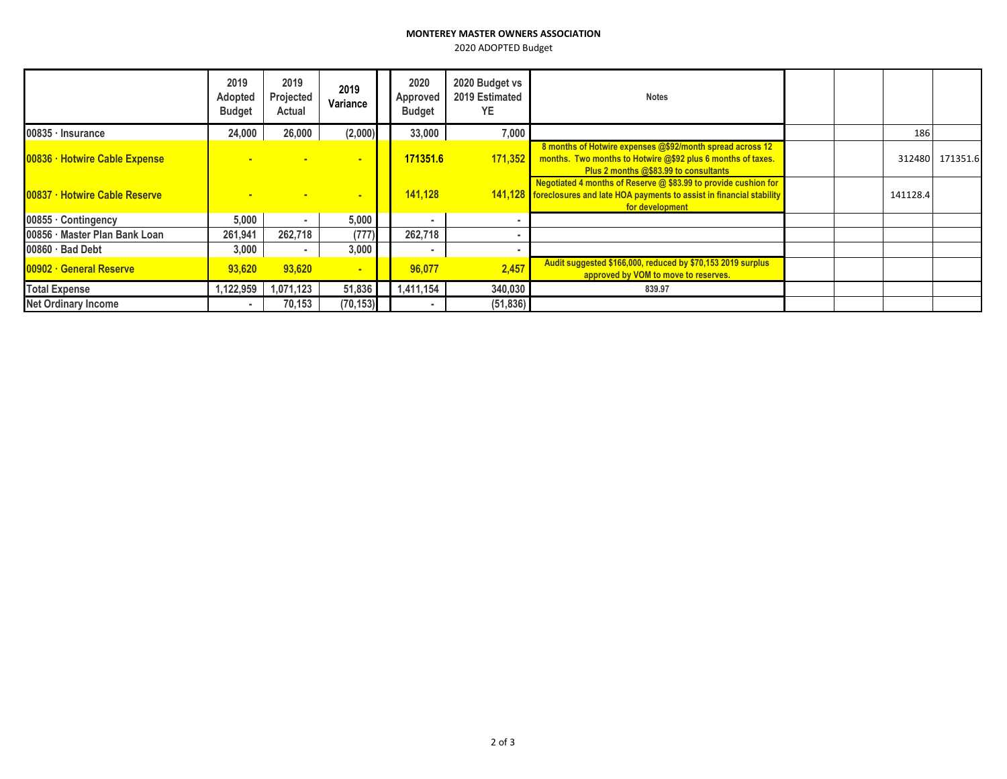## **MONTEREY MASTER OWNERS ASSOCIATION**

2020 ADOPTED Budget

|                                      | 2019<br>Adopted<br><b>Budget</b> | 2019<br>Projected<br>Actual | 2019<br>Variance | 2020<br>Approved<br><b>Budget</b> | 2020 Budget vs<br>2019 Estimated<br><b>YE</b> | <b>Notes</b>                                                                                                                                                        |          |                 |
|--------------------------------------|----------------------------------|-----------------------------|------------------|-----------------------------------|-----------------------------------------------|---------------------------------------------------------------------------------------------------------------------------------------------------------------------|----------|-----------------|
| $00835 \cdot$ Insurance              | 24,000                           | 26,000                      | (2,000)          | 33,000                            | 7,000                                         |                                                                                                                                                                     | 186      |                 |
| 00836 · Hotwire Cable Expense        |                                  |                             | $\mathbf{r}$     | 171351.6                          | 171,352                                       | 8 months of Hotwire expenses @\$92/month spread across 12<br>months. Two months to Hotwire @\$92 plus 6 months of taxes.<br>Plus 2 months @\$83.99 to consultants   |          | 312480 171351.6 |
| <b>00837 · Hotwire Cable Reserve</b> |                                  |                             | ÷                | 141,128                           |                                               | Negotiated 4 months of Reserve $@$ \$83.99 to provide cushion for<br>141,128 foreclosures and late HOA payments to assist in financial stability<br>for development | 141128.4 |                 |
| $100855 \cdot$ Contingency           | 5.000                            |                             | 5,000            |                                   |                                               |                                                                                                                                                                     |          |                 |
| 100856 · Master Plan Bank Loan       | 261,941                          | 262,718                     | (777)            | 262,718                           |                                               |                                                                                                                                                                     |          |                 |
| $00860 \cdot$ Bad Debt               | 3,000                            |                             | 3,000            |                                   |                                               |                                                                                                                                                                     |          |                 |
| <b>100902 · General Reserve</b>      | 93,620                           | 93.620                      | ÷                | 96,077                            | 2,457                                         | Audit suggested \$166,000, reduced by \$70,153 2019 surplus<br>approved by VOM to move to reserves.                                                                 |          |                 |
| <b>Total Expense</b>                 | 1,122,959                        | 1,071,123                   | 51,836           | 1,411,154                         | 340,030                                       | 839.97                                                                                                                                                              |          |                 |
| <b>Net Ordinary Income</b>           |                                  | 70,153                      | (70, 153)        |                                   | (51, 836)                                     |                                                                                                                                                                     |          |                 |